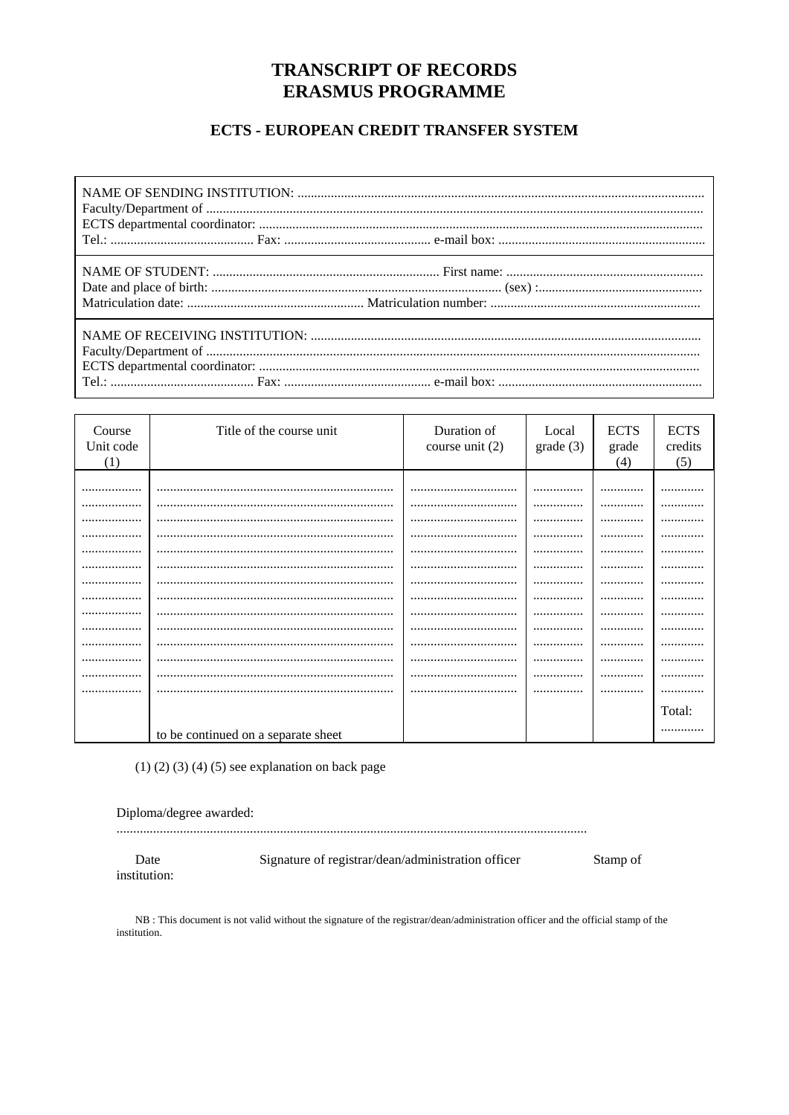# **TRANSCRIPT OF RECORDS ERASMUS PROGRAMME**

## ECTS - EUROPEAN CREDIT TRANSFER SYSTEM

| Course<br>Unit code<br>(1) | Title of the course unit            | Duration of<br>course unit $(2)$ | Local<br>grade(3) | <b>ECTS</b><br>grade<br>(4) | <b>ECTS</b><br>credits<br>(5) |
|----------------------------|-------------------------------------|----------------------------------|-------------------|-----------------------------|-------------------------------|
|                            |                                     |                                  |                   |                             |                               |
|                            |                                     |                                  |                   |                             |                               |
|                            |                                     |                                  |                   |                             |                               |
|                            |                                     |                                  |                   |                             |                               |
|                            |                                     |                                  |                   |                             |                               |
|                            |                                     |                                  |                   |                             |                               |
|                            |                                     |                                  |                   |                             | .                             |
|                            |                                     |                                  |                   |                             |                               |
|                            |                                     |                                  |                   |                             |                               |
|                            |                                     |                                  |                   |                             |                               |
|                            |                                     |                                  |                   | .                           |                               |
|                            |                                     |                                  |                   |                             |                               |
|                            |                                     |                                  |                   |                             |                               |
|                            |                                     |                                  |                   |                             |                               |
|                            |                                     |                                  |                   |                             |                               |
|                            |                                     |                                  |                   |                             | Total:                        |
|                            | to be continued on a separate sheet |                                  |                   |                             |                               |

 $(1)$   $(2)$   $(3)$   $(4)$   $(5)$  see explanation on back page

Date institution: Signature of registrar/dean/administration officer

Stamp of

NB : This document is not valid without the signature of the registrar/dean/administration officer and the official stamp of the institution.